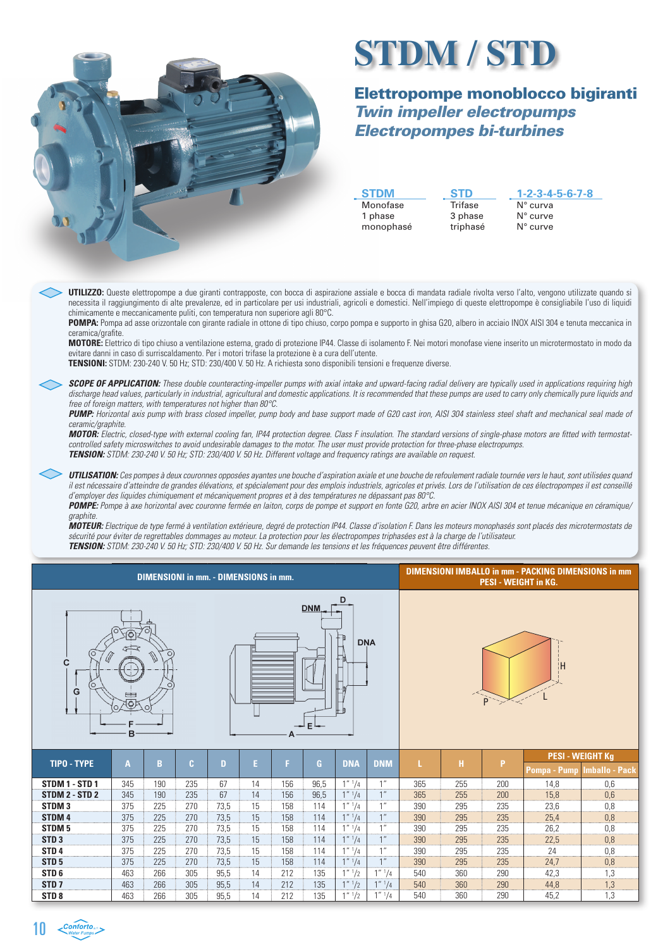

## **STDM / STD**

## Elettropompe monoblocco bigiranti Twin impeller electropumps Electropompes bi-turbines

**STDM** Monofase 1 phase monophasé

**STD Trifase** 3 phase triphasé

**1-2-3-4-5-6-7-8** N° curva N° curve N° curve

**UTILIZZO:** Queste elettropompe a due giranti contrapposte, con bocca di aspirazione assiale e bocca di mandata radiale rivolta verso l'alto, vengono utilizzate quando si necessita il raggiungimento di alte prevalenze, ed in particolare per usi industriali, agricoli e domestici. Nell'impiego di queste elettropompe è consigliabile l'uso di liquidi chimicamente e meccanicamente puliti, con temperatura non superiore agli 80°C.

**POMPA:** Pompa ad asse orizzontale con girante radiale in ottone di tipo chiuso, corpo pompa e supporto in ghisa G20, albero in acciaio INOX AISI 304 e tenuta meccanica in ceramica/grafite.

**MOTORE:** Elettrico di tipo chiuso a ventilazione esterna, grado di protezione IP44. Classe di isolamento F. Nei motori monofase viene inserito un microtermostato in modo da evitare danni in caso di surriscaldamento. Per i motori trifase la protezione è a cura dell'utente.

**TENSIONI:** STDM: 230-240 V. 50 Hz; STD: 230/400 V. 50 Hz. A richiesta sono disponibili tensioni e frequenze diverse.

**SCOPE OF APPLICATION:** These double counteracting-impeller pumps with axial intake and upward-facing radial delivery are typically used in applications requiring high discharge head values, particularly in industrial, agricultural and domestic applications. It is recommended that these pumps are used to carry only chemically pure liquids and free of foreign matters, with temperatures not higher than 80°C.

**PUMP:** Horizontal axis pump with brass closed impeller, pump body and base support made of G20 cast iron, AISI 304 stainless steel shaft and mechanical seal made of ceramic/graphite.

**MOTOR:** Electric, closed-type with external cooling fan, IP44 protection degree. Class F insulation. The standard versions of single-phase motors are fitted with termostatcontrolled safety microswitches to avoid undesirable damages to the motor. The user must provide protection for three-phase electropumps. **TENSION:** STDM: 230-240 V. 50 Hz; STD: 230/400 V. 50 Hz. Different voltage and frequency ratings are available on request.

**UTILISATION:** Ces pompes à deux couronnes opposées ayantes une bouche d'aspiration axiale et une bouche de refoulement radiale tournée vers le haut, sont utilisées quand il est nécessaire d'atteindre de grandes élévations, et spécialement pour des emplois industriels, agricoles et privés. Lors de l'utilisation de ces électropompes il est conseillé d'employer des liquides chimiquement et mécaniquement propres et à des températures ne dépassant pas 80°C. **POMPE:** Pompe à axe horizontal avec couronne fermée en laiton, corps de pompe et support en fonte G20, arbre en acier INOX AISI 304 et tenue mécanique en céramique/

graphite. **MOTEUR:** Electrique de type fermé à ventilation extérieure, degré de protection IP44. Classe d'isolation F. Dans les moteurs monophasés sont placés des microtermostats de sécurité pour éviter de regrettables dommages au moteur. La protection pour les électropompes triphasées est à la charge de l'utilisateur. **TENSION:** STDM: 230-240 V. 50 Hz; STD: 230/400 V. 50 Hz. Sur demande les tensions et les fréquences peuvent être différentes.

| <b>DIMENSIONI in mm. - DIMENSIONS in mm.</b>                                        |     |     |     |      |    |     |              |                       |                       | <b>DIMENSIONI IMBALLO in mm - PACKING DIMENSIONS in mm</b><br><b>PESI - WEIGHT in KG.</b> |     |     |                                         |                       |  |  |
|-------------------------------------------------------------------------------------|-----|-----|-----|------|----|-----|--------------|-----------------------|-----------------------|-------------------------------------------------------------------------------------------|-----|-----|-----------------------------------------|-----------------------|--|--|
| D<br><b>DNM</b><br>۳<br><b>DNA</b><br>∥<br>O<br>{t}<br>C<br>$\Omega$<br>G<br>٥<br>B |     |     |     |      |    |     |              |                       | <b>H</b><br>P         |                                                                                           |     |     |                                         |                       |  |  |
| <b>TIPO - TYPE</b>                                                                  | A   | B   | Ċ.  | D    | E  | F.  | $\mathbf{G}$ | <b>DNA</b>            | <b>DNM</b>            |                                                                                           | н   | P   | <b>PESI - WEIGHT Kg</b><br>Pompa - Pump | <b>Imballo - Pack</b> |  |  |
| STDM 1 - STD 1                                                                      | 345 | 190 | 235 | 67   | 14 | 156 | 96,5         | $1''$ <sup>1</sup> /4 | 1 <sup>''</sup>       | 365                                                                                       | 255 | 200 | 14,8                                    | 0,6                   |  |  |
| STDM 2 - STD 2                                                                      | 345 | 190 | 235 | 67   | 14 | 156 | 96,5         | 1''''/4               | 1 <sup>''</sup>       | 365                                                                                       | 255 | 200 | 15,8                                    | 0,6                   |  |  |
| STDM <sub>3</sub>                                                                   | 375 | 225 | 270 | 73,5 | 15 | 158 | 114          | $1''$ <sup>1</sup> /4 | 1 <sup>''</sup>       | 390                                                                                       | 295 | 235 | 23,6                                    | 0,8                   |  |  |
| STDM <sub>4</sub>                                                                   | 375 | 225 | 270 | 73,5 | 15 | 158 | 114          | 1''''/4               | 1 <sup>''</sup>       | 390                                                                                       | 295 | 235 | 25,4                                    | 0,8                   |  |  |
| STDM <sub>5</sub>                                                                   | 375 | 225 | 270 | 73.5 | 15 | 158 | 114          | $1''$ <sup>1</sup> /4 | 1 <sup>''</sup>       | 390                                                                                       | 295 | 235 | 26.2                                    | 0.8                   |  |  |
| STD <sub>3</sub>                                                                    | 375 | 225 | 270 | 73.5 | 15 | 158 | 114          | $1''$ <sup>1</sup> /4 | 1 <sup>''</sup>       | 390                                                                                       | 295 | 235 | 22,5                                    | 0,8                   |  |  |
| STD <sub>4</sub>                                                                    | 375 | 225 | 270 | 73.5 | 15 | 158 | 114          | 1'' '1/4              | 1 <sup>''</sup>       | 390                                                                                       | 295 | 235 | 24                                      | 0,8                   |  |  |
| STD <sub>5</sub>                                                                    | 375 | 225 | 270 | 73,5 | 15 | 158 | 114          | $1''$ <sup>1</sup> /4 | 1 <sup>''</sup>       | 390                                                                                       | 295 | 235 | 24,7                                    | 0,8                   |  |  |
| STD <sub>6</sub>                                                                    | 463 | 266 | 305 | 95,5 | 14 | 212 | 135          | 1''''/2               | $1''$ <sup>1</sup> /4 | 540                                                                                       | 360 | 290 | 42,3                                    | 1,3                   |  |  |
| STD <sub>7</sub>                                                                    | 463 | 266 | 305 | 95,5 | 14 | 212 | 135          | 1''''/2               | $1''$ <sup>1</sup> /4 | 540                                                                                       | 360 | 290 | 44,8                                    | 1,3                   |  |  |
| STD <sub>8</sub>                                                                    | 463 | 266 | 305 | 95.5 | 14 | 212 | 135          | $1''''$ $1/2$         | 1'' '1/4              | 540                                                                                       | 360 | 290 | 45,2                                    | 1,3                   |  |  |